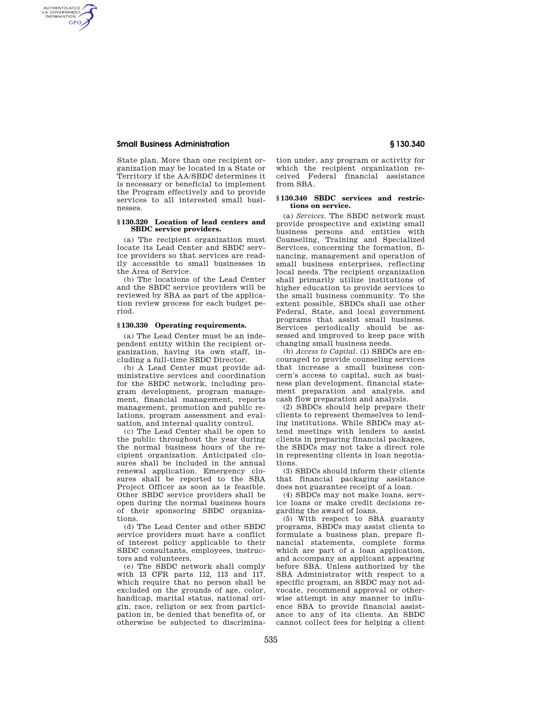## **Small Business Administration § 130.340**

AUTHENTICATED<br>U.S. GOVERNMENT<br>INFORMATION **GPO** 

> State plan. More than one recipient organization may be located in a State or Territory if the AA/SBDC determines it is necessary or beneficial to implement the Program effectively and to provide services to all interested small businesses.

#### **§ 130.320 Location of lead centers and SBDC service providers.**

(a) The recipient organization must locate its Lead Center and SBDC service providers so that services are readily accessible to small businesses in the Area of Service.

(b) The locations of the Lead Center and the SBDC service providers will be reviewed by SBA as part of the application review process for each budget period.

## **§ 130.330 Operating requirements.**

(a) The Lead Center must be an independent entity within the recipient organization, having its own staff, including a full-time SBDC Director.

(b) A Lead Center must provide administrative services and coordination for the SBDC network, including program development, program management, financial management, reports management, promotion and public relations, program assessment and evaluation, and internal quality control.

(c) The Lead Center shall be open to the public throughout the year during the normal business hours of the recipient organization. Anticipated closures shall be included in the annual renewal application. Emergency closures shall be reported to the SBA Project Officer as soon as is feasible. Other SBDC service providers shall be open during the normal business hours of their sponsoring SBDC organizations.

(d) The Lead Center and other SBDC service providers must have a conflict of interest policy applicable to their SBDC consultants, employees, instructors and volunteers.

(e) The SBDC network shall comply with 13 CFR parts 112, 113 and 117, which require that no person shall be excluded on the grounds of age, color, handicap, marital status, national origin, race, religion or sex from participation in, be denied that benefits of, or otherwise be subjected to discrimina-

tion under, any program or activity for which the recipient organization received Federal financial assistance from SBA.

#### **§ 130.340 SBDC services and restrictions on service.**

(a) *Services.* The SBDC network must provide prospective and existing small business persons and entities with Counseling, Training and Specialized Services, concerning the formation, financing, management and operation of small business enterprises, reflecting local needs. The recipient organization shall primarily utilize institutions of higher education to provide services to the small business community. To the extent possible, SBDCs shall use other Federal, State, and local government programs that assist small business. Services periodically should be assessed and improved to keep pace with changing small business needs.

(b) *Access to Capital.* (1) SBDCs are encouraged to provide counseling services that increase a small business concern's access to capital, such as business plan development, financial statement preparation and analysis, and cash flow preparation and analysis.

(2) SBDCs should help prepare their clients to represent themselves to lending institutions. While SBDCs may attend meetings with lenders to assist clients in preparing financial packages, the SBDCs may not take a direct role in representing clients in loan negotiations.

(3) SBDCs should inform their clients that financial packaging assistance does not guarantee receipt of a loan.

(4) SBDCs may not make loans, service loans or make credit decisions regarding the award of loans.

(5) With respect to SBA guaranty programs, SBDCs may assist clients to formulate a business plan, prepare financial statements, complete forms which are part of a loan application, and accompany an applicant appearing before SBA. Unless authorized by the SBA Administrator with respect to a specific program, an SBDC may not advocate, recommend approval or otherwise attempt in any manner to influence SBA to provide financial assistance to any of its clients. An SBDC cannot collect fees for helping a client